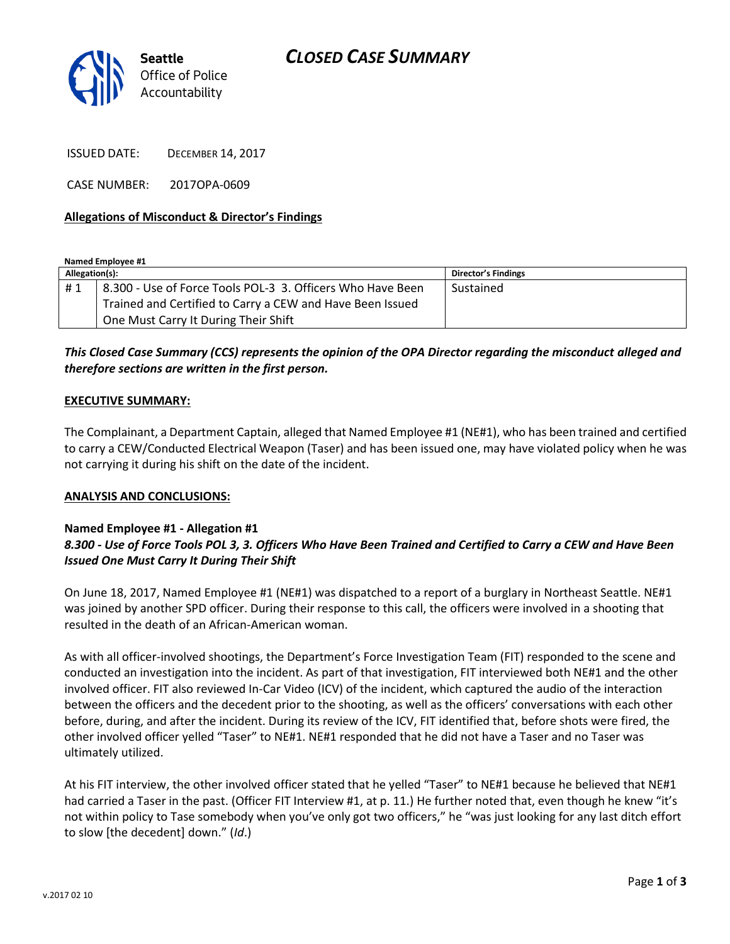# *CLOSED CASE SUMMARY*



ISSUED DATE: DECEMBER 14, 2017

CASE NUMBER: 2017OPA-0609

### **Allegations of Misconduct & Director's Findings**

**Named Employee #1**

| Allegation(s): |                                                            | Director's Findings |
|----------------|------------------------------------------------------------|---------------------|
| #1             | 8.300 - Use of Force Tools POL-3 3. Officers Who Have Been | Sustained           |
|                | Trained and Certified to Carry a CEW and Have Been Issued  |                     |
|                | One Must Carry It During Their Shift                       |                     |

*This Closed Case Summary (CCS) represents the opinion of the OPA Director regarding the misconduct alleged and therefore sections are written in the first person.* 

#### **EXECUTIVE SUMMARY:**

The Complainant, a Department Captain, alleged that Named Employee #1 (NE#1), who has been trained and certified to carry a CEW/Conducted Electrical Weapon (Taser) and has been issued one, may have violated policy when he was not carrying it during his shift on the date of the incident.

#### **ANALYSIS AND CONCLUSIONS:**

### **Named Employee #1 - Allegation #1**

## *8.300 - Use of Force Tools POL 3, 3. Officers Who Have Been Trained and Certified to Carry a CEW and Have Been Issued One Must Carry It During Their Shift*

On June 18, 2017, Named Employee #1 (NE#1) was dispatched to a report of a burglary in Northeast Seattle. NE#1 was joined by another SPD officer. During their response to this call, the officers were involved in a shooting that resulted in the death of an African-American woman.

As with all officer-involved shootings, the Department's Force Investigation Team (FIT) responded to the scene and conducted an investigation into the incident. As part of that investigation, FIT interviewed both NE#1 and the other involved officer. FIT also reviewed In-Car Video (ICV) of the incident, which captured the audio of the interaction between the officers and the decedent prior to the shooting, as well as the officers' conversations with each other before, during, and after the incident. During its review of the ICV, FIT identified that, before shots were fired, the other involved officer yelled "Taser" to NE#1. NE#1 responded that he did not have a Taser and no Taser was ultimately utilized.

At his FIT interview, the other involved officer stated that he yelled "Taser" to NE#1 because he believed that NE#1 had carried a Taser in the past. (Officer FIT Interview #1, at p. 11.) He further noted that, even though he knew "it's not within policy to Tase somebody when you've only got two officers," he "was just looking for any last ditch effort to slow [the decedent] down." (*Id*.)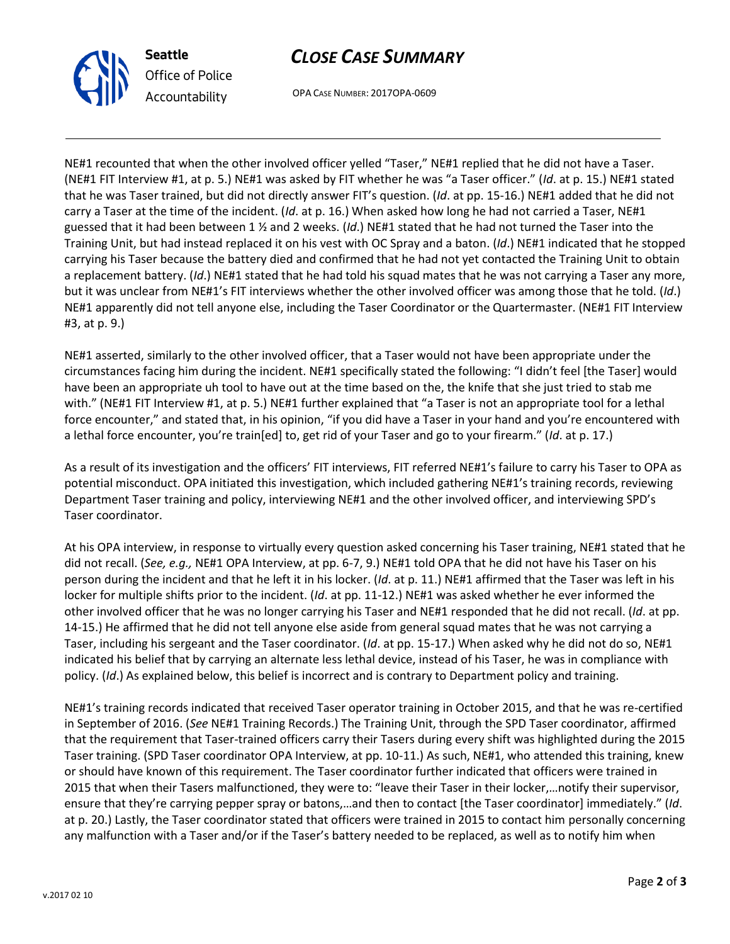



OPA CASE NUMBER: 2017OPA-0609

NE#1 recounted that when the other involved officer yelled "Taser," NE#1 replied that he did not have a Taser. (NE#1 FIT Interview #1, at p. 5.) NE#1 was asked by FIT whether he was "a Taser officer." (*Id*. at p. 15.) NE#1 stated that he was Taser trained, but did not directly answer FIT's question. (*Id*. at pp. 15-16.) NE#1 added that he did not carry a Taser at the time of the incident. (*Id*. at p. 16.) When asked how long he had not carried a Taser, NE#1 guessed that it had been between 1 ½ and 2 weeks. (*Id*.) NE#1 stated that he had not turned the Taser into the Training Unit, but had instead replaced it on his vest with OC Spray and a baton. (*Id*.) NE#1 indicated that he stopped carrying his Taser because the battery died and confirmed that he had not yet contacted the Training Unit to obtain a replacement battery. (*Id*.) NE#1 stated that he had told his squad mates that he was not carrying a Taser any more, but it was unclear from NE#1's FIT interviews whether the other involved officer was among those that he told. (*Id*.) NE#1 apparently did not tell anyone else, including the Taser Coordinator or the Quartermaster. (NE#1 FIT Interview #3, at p. 9.)

NE#1 asserted, similarly to the other involved officer, that a Taser would not have been appropriate under the circumstances facing him during the incident. NE#1 specifically stated the following: "I didn't feel [the Taser] would have been an appropriate uh tool to have out at the time based on the, the knife that she just tried to stab me with." (NE#1 FIT Interview #1, at p. 5.) NE#1 further explained that "a Taser is not an appropriate tool for a lethal force encounter," and stated that, in his opinion, "if you did have a Taser in your hand and you're encountered with a lethal force encounter, you're train[ed] to, get rid of your Taser and go to your firearm." (*Id*. at p. 17.)

As a result of its investigation and the officers' FIT interviews, FIT referred NE#1's failure to carry his Taser to OPA as potential misconduct. OPA initiated this investigation, which included gathering NE#1's training records, reviewing Department Taser training and policy, interviewing NE#1 and the other involved officer, and interviewing SPD's Taser coordinator.

At his OPA interview, in response to virtually every question asked concerning his Taser training, NE#1 stated that he did not recall. (*See, e.g.,* NE#1 OPA Interview, at pp. 6-7, 9.) NE#1 told OPA that he did not have his Taser on his person during the incident and that he left it in his locker. (*Id*. at p. 11.) NE#1 affirmed that the Taser was left in his locker for multiple shifts prior to the incident. (*Id*. at pp. 11-12.) NE#1 was asked whether he ever informed the other involved officer that he was no longer carrying his Taser and NE#1 responded that he did not recall. (*Id*. at pp. 14-15.) He affirmed that he did not tell anyone else aside from general squad mates that he was not carrying a Taser, including his sergeant and the Taser coordinator. (*Id*. at pp. 15-17.) When asked why he did not do so, NE#1 indicated his belief that by carrying an alternate less lethal device, instead of his Taser, he was in compliance with policy. (*Id*.) As explained below, this belief is incorrect and is contrary to Department policy and training.

NE#1's training records indicated that received Taser operator training in October 2015, and that he was re-certified in September of 2016. (*See* NE#1 Training Records.) The Training Unit, through the SPD Taser coordinator, affirmed that the requirement that Taser-trained officers carry their Tasers during every shift was highlighted during the 2015 Taser training. (SPD Taser coordinator OPA Interview, at pp. 10-11.) As such, NE#1, who attended this training, knew or should have known of this requirement. The Taser coordinator further indicated that officers were trained in 2015 that when their Tasers malfunctioned, they were to: "leave their Taser in their locker,…notify their supervisor, ensure that they're carrying pepper spray or batons,…and then to contact [the Taser coordinator] immediately." (*Id*. at p. 20.) Lastly, the Taser coordinator stated that officers were trained in 2015 to contact him personally concerning any malfunction with a Taser and/or if the Taser's battery needed to be replaced, as well as to notify him when